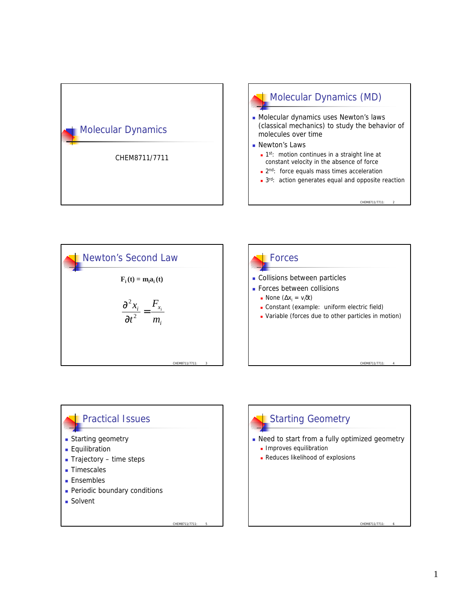





CHEM8711/7711

- **Periodic boundary conditions**
- Solvent

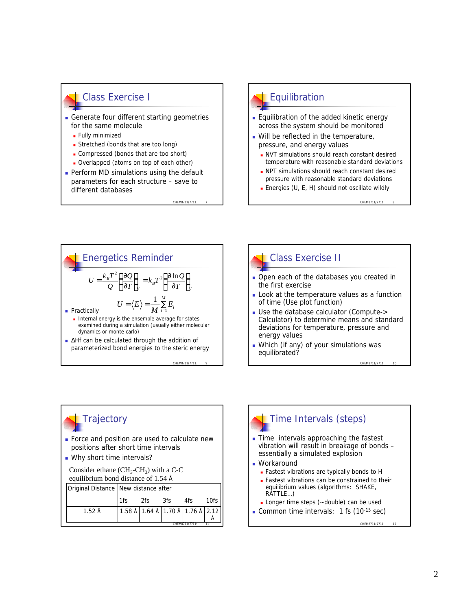#### Class Exercise I

- **Generate four different starting geometries** for the same molecule
	- **Fully minimized**
	- **n** Stretched (bonds that are too long)
	- Compressed (bonds that are too short)
	- Overlapped (atoms on top of each other)
- $\blacksquare$  Perform MD simulations using the default parameters for each structure – save to different databases

CHEM8711/7711

CHEM8711/7711: 9

## **Equilibration**

- **Equilibration of the added kinetic energy** across the system should be monitored
- **Nill be reflected in the temperature.** pressure, and energy values
	- **NVT** simulations should reach constant desired temperature with reasonable standard deviations
	- **NPT** simulations should reach constant desired pressure with reasonable standard deviations

CHEM8711/7711

CHEM8711/7711

**Energies (U, E, H) should not oscillate wildly** 





- **Doen each of the databases you created in** the first exercise
- **Look at the temperature values as a function** of time (Use plot function)
- Use the database calculator (Compute-> Calculator) to determine means and standard deviations for temperature, pressure and energy values
- **Nhich (if any) of your simulations was** equilibrated?

# **Trajectory**

- Force and position are used to calculate new positions after short time intervals
- Why short time intervals?

```
Consider ethane (CH_3\text{-}CH_3) with a C-C
equilibrium bond distance of 1.54 Å
```
Original Distance New distance after

|                  |  |                                          | 3fs | 4fs | 10fs |
|------------------|--|------------------------------------------|-----|-----|------|
| $1.52 \text{ Å}$ |  | 1.58 Å   1.64 Å   1.70 Å   1.76 Å   2.12 |     |     |      |
| CHEM8711/7711:   |  |                                          |     |     |      |

#### CHEM8711/7711: Time Intervals (steps)  $\blacksquare$  Time intervals approaching the fastest vibration will result in breakage of bonds – essentially a simulated explosion **Norkaround** <sup>n</sup> Fastest vibrations are typically bonds to H **Fastest vibrations can be constrained to their** equilibrium values (algorithms: SHAKE, RATTLE…) **Longer time steps (** $\sim$ **double) can be used Common time intervals:** 1 fs  $(10^{-15} \text{ sec})$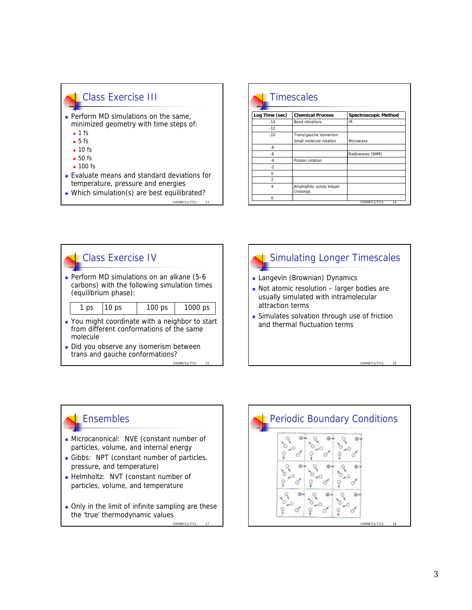#### Class Exercise III

- $\blacksquare$  Perform MD simulations on the same, minimized geometry with time steps of:
	- $-1$  fs
	- $-5$  fs
	- $-10$  fs
	- $-50$  fs
	- $-100$  fs
- <sup>n</sup> Evaluate means and standard deviations for temperature, pressure and energies

CHEM8711/7711

 $\blacksquare$  Which simulation(s) are best equilibrated?

| <b>Timescales</b> |                                                   |                             |  |  |
|-------------------|---------------------------------------------------|-----------------------------|--|--|
| Log Time (sec)    | <b>Chemical Process</b>                           | <b>Spectroscopic Method</b> |  |  |
| $-14$             | <b>Bond vibrations</b>                            | IR                          |  |  |
| $-12$             |                                                   |                             |  |  |
| $-10$             | Trans/gauche isomerism<br>Small molecule rotation | Microwave                   |  |  |
| -8                |                                                   |                             |  |  |
| -6                |                                                   | Radiowaves (NMR)            |  |  |
| $-4$              | Protein rotation                                  |                             |  |  |
| $-2$              |                                                   |                             |  |  |
| $\Omega$          |                                                   |                             |  |  |
| $\mathfrak{p}$    |                                                   |                             |  |  |
| 4                 | Amphiphilic solute bilayer<br>crossings           |                             |  |  |
| 6                 |                                                   |                             |  |  |





- **Langevin (Brownian) Dynamics**
- $\blacksquare$  Not atomic resolution larger bodies are usually simulated with intramolecular attraction terms
- **Example 1** Simulates solvation through use of friction and thermal fluctuation terms

CHEM8711/7711:

### **Ensembles**

- <sup>n</sup> Microcanonical: NVE (constant number of particles, volume, and internal energy
- Gibbs: NPT (constant number of particles, pressure, and temperature)
- **Helmholtz: NVT (constant number of** particles, volume, and temperature
- Only in the limit of infinite sampling are these the 'true' thermodynamic values

CHEM8711/7711